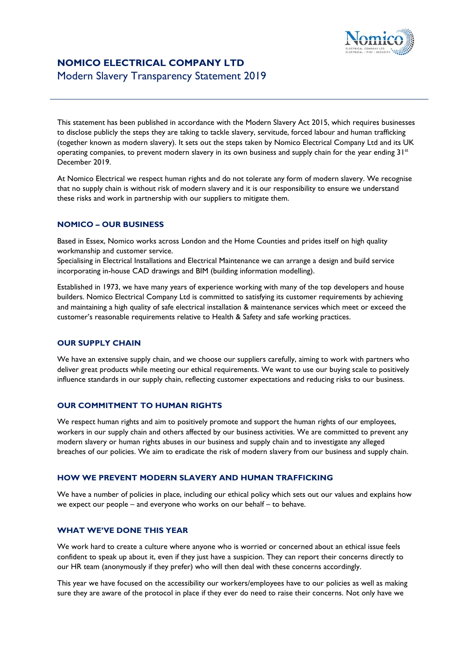

# **NOMICO ELECTRICAL COMPANY LTD** Modern Slavery Transparency Statement 2019

This statement has been published in accordance with the Modern Slavery Act 2015, which requires businesses to disclose publicly the steps they are taking to tackle slavery, servitude, forced labour and human trafficking (together known as modern slavery). It sets out the steps taken by Nomico Electrical Company Ltd and its UK operating companies, to prevent modern slavery in its own business and supply chain for the year ending  $31<sup>st</sup>$ December 2019.

At Nomico Electrical we respect human rights and do not tolerate any form of modern slavery. We recognise that no supply chain is without risk of modern slavery and it is our responsibility to ensure we understand these risks and work in partnership with our suppliers to mitigate them.

## **NOMICO – OUR BUSINESS**

Based in Essex, Nomico works across London and the Home Counties and prides itself on high quality workmanship and customer service.

Specialising in Electrical Installations and Electrical Maintenance we can arrange a design and build service incorporating in-house CAD drawings and BIM (building information modelling).

Established in 1973, we have many years of experience working with many of the top developers and house builders. Nomico Electrical Company Ltd is committed to satisfying its customer requirements by achieving and maintaining a high quality of safe electrical installation & maintenance services which meet or exceed the customer's reasonable requirements relative to Health & Safety and safe working practices.

### **OUR SUPPLY CHAIN**

We have an extensive supply chain, and we choose our suppliers carefully, aiming to work with partners who deliver great products while meeting our ethical requirements. We want to use our buying scale to positively influence standards in our supply chain, reflecting customer expectations and reducing risks to our business.

### **OUR COMMITMENT TO HUMAN RIGHTS**

We respect human rights and aim to positively promote and support the human rights of our employees, workers in our supply chain and others affected by our business activities. We are committed to prevent any modern slavery or human rights abuses in our business and supply chain and to investigate any alleged breaches of our policies. We aim to eradicate the risk of modern slavery from our business and supply chain.

### **HOW WE PREVENT MODERN SLAVERY AND HUMAN TRAFFICKING**

We have a number of policies in place, including our ethical policy which sets out our values and explains how we expect our people – and everyone who works on our behalf – to behave.

### **WHAT WE'VE DONE THIS YEAR**

We work hard to create a culture where anyone who is worried or concerned about an ethical issue feels confident to speak up about it, even if they just have a suspicion. They can report their concerns directly to our HR team (anonymously if they prefer) who will then deal with these concerns accordingly.

This year we have focused on the accessibility our workers/employees have to our policies as well as making sure they are aware of the protocol in place if they ever do need to raise their concerns. Not only have we